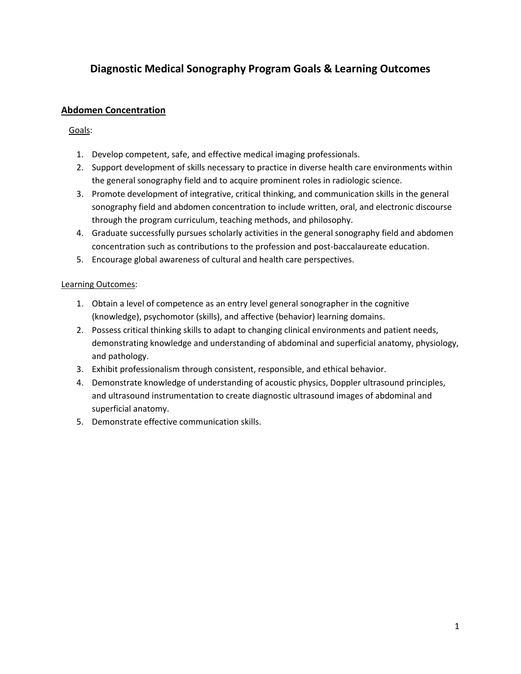# **Diagnostic Medical Sonography Program Goals & Learning Outcomes**

### **Abdomen Concentration**

#### Goals:

- 1. Develop competent, safe, and effective medical imaging professionals.
- 2. Support development of skills necessary to practice in diverse health care environments within the general sonography field and to acquire prominent roles in radiologic science.
- 3. Promote development of integrative, critical thinking, and communication skills in the general sonography field and abdomen concentration to include written, oral, and electronic discourse through the program curriculum, teaching methods, and philosophy.
- 4. Graduate successfully pursues scholarly activities in the general sonography field and abdomen concentration such as contributions to the profession and post-baccalaureate education.
- 5. Encourage global awareness of cultural and health care perspectives.

#### Learning Outcomes:

- 1. Obtain a level of competence as an entry level general sonographer in the cognitive (knowledge), psychomotor (skills), and affective (behavior) learning domains.
- 2. Possess critical thinking skills to adapt to changing clinical environments and patient needs, demonstrating knowledge and understanding of abdominal and superficial anatomy, physiology, and pathology.
- 3. Exhibit professionalism through consistent, responsible, and ethical behavior.
- 4. Demonstrate knowledge of understanding of acoustic physics, Doppler ultrasound principles, and ultrasound instrumentation to create diagnostic ultrasound images of abdominal and superficial anatomy.
- 5. Demonstrate effective communication skills.